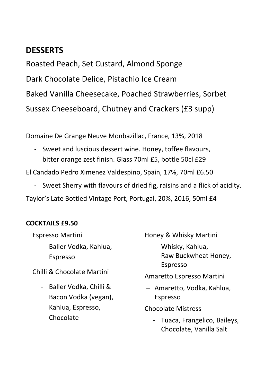# **DESSERTS**

Roasted Peach, Set Custard, Almond Sponge Dark Chocolate Delice, Pistachio Ice Cream Baked Vanilla Cheesecake, Poached Strawberries, Sorbet Sussex Cheeseboard, Chutney and Crackers (£3 supp)

Domaine De Grange Neuve Monbazillac, France, 13%, 2018

- Sweet and luscious dessert wine. Honey, toffee flavours, bitter orange zest finish. Glass 70ml £5, bottle 50cl £29

El Candado Pedro Ximenez Valdespino, Spain, 17%, 70ml £6.50

Sweet Sherry with flavours of dried fig, raisins and a flick of acidity.

Taylor's Late Bottled Vintage Port, Portugal, 20%, 2016, 50ml £4

#### **COCKTAILS £9.50**

Espresso Martini

- Baller Vodka, Kahlua, Espresso

Chilli & Chocolate Martini

- Baller Vodka, Chilli & Bacon Vodka (vegan), Kahlua, Espresso, Chocolate

Honey & Whisky Martini

- Whisky, Kahlua, Raw Buckwheat Honey, Espresso

Amaretto Espresso Martini

– Amaretto, Vodka, Kahlua, Espresso

Chocolate Mistress

- Tuaca, Frangelico, Baileys, Chocolate, Vanilla Salt